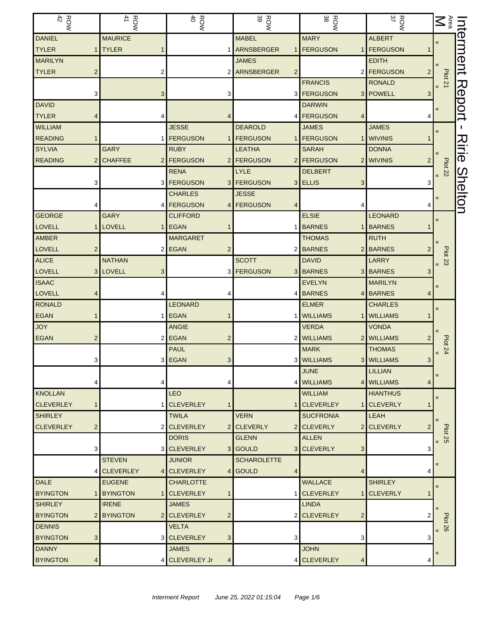| $\frac{R}{42}$        | <b>ROW</b>         | $\frac{RON}{40}$              | <b>ROW</b>         | ROW<br>38                       | ROW<br>37       | $M^{\text{res}}$                      | Interment      |
|-----------------------|--------------------|-------------------------------|--------------------|---------------------------------|-----------------|---------------------------------------|----------------|
| <b>DANIEL</b>         | <b>MAURICE</b>     |                               | <b>MABEL</b>       | <b>MARY</b>                     | <b>ALBERT</b>   |                                       |                |
| <b>TYLER</b>          | <b>TYLER</b>       |                               | 1 ARNSBERGER       | <b>FERGUSON</b><br>$\mathbf{1}$ | <b>FERGUSON</b> |                                       |                |
| <b>MARILYN</b>        |                    |                               | <b>JAMES</b>       |                                 | <b>EDITH</b>    |                                       |                |
| <b>TYLER</b><br>2     | 2                  |                               | 2 ARNSBERGER<br>2  |                                 | 2 FERGUSON<br>2 |                                       |                |
|                       |                    |                               |                    | <b>FRANCIS</b>                  | <b>RONALD</b>   | <b>Plot 21</b>                        |                |
|                       | 3                  | 3                             |                    | 3 FERGUSON                      | 3 POWELL<br>3   |                                       |                |
| <b>DAVID</b>          |                    |                               |                    | <b>DARWIN</b>                   |                 | $\ll$                                 |                |
| <b>TYLER</b>          | 4                  |                               |                    | 4 <b>FERGUSON</b><br>4          |                 |                                       | Report         |
| <b>WILLIAM</b>        |                    | <b>JESSE</b>                  | <b>DEAROLD</b>     | <b>JAMES</b>                    | <b>JAMES</b>    | $\overline{\mathbf{K}}$               |                |
| <b>READING</b>        |                    | 1 <b>FERGUSON</b>             | 1 FERGUSON         | <b>FERGUSON</b>                 | 1 WIVINIS       |                                       |                |
| <b>SYLVIA</b>         | <b>GARY</b>        | <b>RUBY</b>                   | <b>LEATHA</b>      | <b>SARAH</b>                    | <b>DONNA</b>    |                                       | スミー            |
| <b>READING</b>        | <b>CHAFFEE</b>     | 2 FERGUSON                    | 2 FERGUSON         | 2 FERGUSON                      | 2 WIVINIS       |                                       |                |
|                       |                    | <b>RENA</b>                   | <b>LYLE</b>        | <b>DELBERT</b>                  |                 | <b>Plot 22</b>                        |                |
|                       |                    | 3 <b>FERGUSON</b>             | 3 FERGUSON         | 3 ELLIS<br>3                    | 3               |                                       |                |
|                       |                    | <b>CHARLES</b>                | <b>JESSE</b>       |                                 |                 |                                       |                |
|                       |                    | 4 <b>FERGUSON</b>             | 4 FERGUSON         |                                 |                 |                                       | <b>Shelton</b> |
| <b>GEORGE</b>         | <b>GARY</b>        | <b>CLIFFORD</b>               |                    | <b>ELSIE</b>                    | <b>LEONARD</b>  | «                                     |                |
| <b>LOVELL</b>         | <b>LOVELL</b><br>1 | <b>EGAN</b>                   |                    | 1 BARNES<br>1                   | <b>BARNES</b>   |                                       |                |
| AMBER                 |                    | <b>MARGARET</b>               |                    | <b>THOMAS</b>                   | <b>RUTH</b>     |                                       |                |
| <b>LOVELL</b><br>2    |                    | 2 EGAN<br>2                   |                    | 2 BARNES                        | 2 BARNES        |                                       |                |
| <b>ALICE</b>          | <b>NATHAN</b>      |                               | <b>SCOTT</b>       | <b>DAVID</b>                    | <b>LARRY</b>    | <b>Plot 23</b>                        |                |
| <b>LOVELL</b>         | 3 LOVELL<br>3      |                               | 3 <b>FERGUSON</b>  | 3 BARNES                        | 3 BARNES<br>3   |                                       |                |
| <b>ISAAC</b>          |                    |                               |                    | <b>EVELYN</b>                   | <b>MARILYN</b>  |                                       |                |
| <b>LOVELL</b>         |                    |                               |                    | 4 BARNES                        | 4 BARNES        |                                       |                |
| <b>RONALD</b>         |                    | <b>LEONARD</b>                |                    | <b>ELMER</b>                    | <b>CHARLES</b>  |                                       |                |
| <b>EGAN</b>           |                    | 1 EGAN                        |                    | <b>WILLIAMS</b><br>1            | <b>WILLIAMS</b> | $\overline{\mathbf{K}}$               |                |
| <b>JOY</b>            |                    | <b>ANGIE</b>                  |                    | <b>VERDA</b>                    | <b>VONDA</b>    |                                       |                |
| <b>EGAN</b>           |                    | $2$ EGAN<br>2                 |                    | 2 WILLIAMS                      | 2 WILLIAMS      |                                       |                |
|                       |                    | <b>PAUL</b>                   |                    | <b>MARK</b>                     | <b>THOMAS</b>   | <b>Plot 24</b>                        |                |
|                       |                    | 3 EGAN<br>3 <sup>1</sup>      |                    | 3 WILLIAMS                      | 3 WILLIAMS<br>3 |                                       |                |
|                       |                    |                               |                    | <b>JUNE</b>                     | <b>LILLIAN</b>  |                                       |                |
|                       | 4                  |                               |                    | 4 WILLIAMS                      | 4 WILLIAMS      |                                       |                |
| <b>KNOLLAN</b>        |                    | <b>LEO</b>                    |                    | <b>WILLIAM</b>                  | <b>HIANTHUS</b> |                                       |                |
| <b>CLEVERLEY</b>      |                    | 1 CLEVERLEY<br>1              |                    | 1 CLEVERLEY                     | 1 CLEVERLY      | $\pmb{\langle} \pmb{\langle}$         |                |
| <b>SHIRLEY</b>        |                    | <b>TWILA</b>                  | <b>VERN</b>        | <b>SUCFRONIA</b>                | LEAH            |                                       |                |
| <b>CLEVERLEY</b><br>2 |                    | 2 CLEVERLEY                   | 2 CLEVERLY         | 2 CLEVERLY                      | 2 CLEVERLY      |                                       |                |
|                       |                    | <b>DORIS</b>                  | <b>GLENN</b>       | <b>ALLEN</b>                    |                 | <b>Plot 25</b><br>$\pmb{\mathcal{R}}$ |                |
|                       |                    | <b>3 CLEVERLEY</b>            | 3 GOULD            | 3 CLEVERLY<br>3                 | 3               |                                       |                |
|                       | <b>STEVEN</b>      | <b>JUNIOR</b>                 | <b>SCHAROLETTE</b> |                                 |                 |                                       |                |
| 4                     | <b>CLEVERLEY</b>   | 4 CLEVERLEY<br>$\vert$        | <b>GOULD</b><br>4  | 4                               | 4               |                                       |                |
| <b>DALE</b>           | <b>EUGENE</b>      | <b>CHARLOTTE</b>              |                    | <b>WALLACE</b>                  | <b>SHIRLEY</b>  |                                       |                |
| <b>BYINGTON</b>       | <b>BYINGTON</b>    | 1 CLEVERLEY<br>1              |                    | 1 CLEVERLEY<br>1 <sup>1</sup>   | <b>CLEVERLY</b> | $\overline{\mathbf{K}}$               |                |
| <b>SHIRLEY</b>        | <b>IRENE</b>       | <b>JAMES</b>                  |                    | <b>LINDA</b>                    |                 |                                       |                |
| <b>BYINGTON</b>       | 2 BYINGTON         | 2 CLEVERLEY<br>$\overline{2}$ |                    | 2 CLEVERLEY<br>$\overline{c}$   |                 |                                       |                |
| <b>DENNIS</b>         |                    | <b>VELTA</b>                  |                    |                                 |                 | <b>Plot 26</b>                        |                |
| <b>BYINGTON</b><br>3  |                    | 3 CLEVERLEY<br>3 <sup>1</sup> | 3                  | 3                               | 3               | $\overline{\mathbf{K}}$               |                |
| <b>DANNY</b>          |                    | <b>JAMES</b>                  |                    | <b>JOHN</b>                     |                 |                                       |                |
| <b>BYINGTON</b><br>4  |                    | 4 CLEVERLEY Jr<br>4           |                    | 4 CLEVERLEY<br>4                | 4               |                                       |                |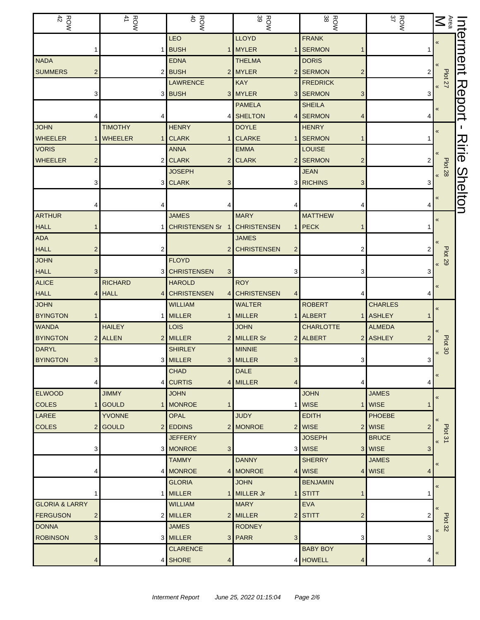| $\frac{ROW}{42}$          |                         | ROW<br>41                      | $\frac{R}{40}$               | ROW<br>39          |   | ROW<br>38                           | ROW<br>37      | $\sum_{\text{Area}}$                            | Interment |
|---------------------------|-------------------------|--------------------------------|------------------------------|--------------------|---|-------------------------------------|----------------|-------------------------------------------------|-----------|
|                           |                         |                                | LEO                          | <b>LLOYD</b>       |   | <b>FRANK</b>                        |                | $\pmb{\ll}$                                     |           |
|                           |                         |                                | 1 BUSH                       | 1 MYLER            |   | <b>SERMON</b>                       |                |                                                 |           |
| <b>NADA</b>               |                         |                                | <b>EDNA</b>                  | <b>THELMA</b>      |   | <b>DORIS</b>                        |                |                                                 |           |
| <b>SUMMERS</b>            | 2                       |                                | 2 BUSH                       | 2 MYLER            |   | 2 SERMON<br>$\overline{\mathbf{c}}$ | 2              | <b>Plot 27</b>                                  |           |
|                           |                         |                                | <b>LAWRENCE</b>              | <b>KAY</b>         |   | <b>FREDRICK</b>                     |                |                                                 |           |
|                           | 3                       |                                | 3 BUSH                       | 3 MYLER            |   | 3 SERMON<br>3                       | 3              |                                                 | Report    |
|                           |                         |                                |                              | <b>PAMELA</b>      |   | <b>SHEILA</b>                       |                | $\pmb{\ll}$                                     |           |
|                           |                         |                                |                              | 4 SHELTON          | 4 | <b>SERMON</b><br>4                  |                |                                                 |           |
| <b>JOHN</b>               |                         | <b>TIMOTHY</b>                 | <b>HENRY</b>                 | <b>DOYLE</b>       |   | <b>HENRY</b>                        |                | $\pmb{\langle} \pmb{\langle}$                   |           |
| <b>WHEELER</b>            | 1                       | <b>WHEELER</b><br>1.           | <b>CLARK</b>                 | 1 CLARKE           |   | <b>SERMON</b>                       |                |                                                 |           |
| <b>VORIS</b>              |                         |                                | <b>ANNA</b>                  | <b>EMMA</b>        |   | <b>LOUISE</b>                       |                |                                                 | スミニ       |
| <b>WHEELER</b>            | 2                       |                                | 2 CLARK                      | 2 CLARK            |   | 2 SERMON<br>$\overline{c}$          |                |                                                 | ወ         |
|                           |                         |                                | <b>JOSEPH</b>                |                    |   | <b>JEAN</b>                         |                | Plot 28<br>92                                   |           |
|                           | З                       |                                | 3 CLARK<br>3                 |                    |   | 3 RICHINS<br>3                      | 3              |                                                 |           |
|                           |                         |                                |                              |                    |   |                                     |                | «                                               | Shelton   |
|                           |                         |                                |                              |                    |   |                                     |                |                                                 |           |
| <b>ARTHUR</b>             |                         |                                | <b>JAMES</b>                 | <b>MARY</b>        |   | <b>MATTHEW</b>                      |                | $\pmb{\ll}$                                     |           |
| <b>HALL</b>               |                         |                                | CHRISTENSEN Sr 1 CHRISTENSEN |                    |   | PECK                                |                |                                                 |           |
| <b>ADA</b>                |                         |                                |                              | <b>JAMES</b>       |   |                                     |                |                                                 |           |
| <b>HALL</b>               | 2                       | 2                              | 2                            | <b>CHRISTENSEN</b> | 2 | 2                                   |                |                                                 |           |
| <b>JOHN</b>               |                         |                                | <b>FLOYD</b>                 |                    |   |                                     |                | <b>Plot 29</b><br>$\pmb{\langle} \pmb{\langle}$ |           |
| <b>HALL</b>               | 3                       |                                | 3 CHRISTENSEN<br>3           |                    | 3 | 3                                   | 3              |                                                 |           |
| <b>ALICE</b>              |                         | <b>RICHARD</b>                 | <b>HAROLD</b>                | <b>ROY</b>         |   |                                     |                | $\pmb{\ll}$                                     |           |
| <b>HALL</b>               | 4 <sup>1</sup>          | <b>HALL</b><br>$\vert 4 \vert$ | <b>CHRISTENSEN</b>           | 4 CHRISTENSEN      | 4 | 4                                   |                |                                                 |           |
| <b>JOHN</b>               |                         |                                | <b>WILLIAM</b>               | <b>WALTER</b>      |   | <b>ROBERT</b>                       | <b>CHARLES</b> | $\pmb{\langle} \pmb{\langle}$                   |           |
| <b>BYINGTON</b>           |                         |                                | 1 MILLER                     | 1 MILLER           |   | <b>ALBERT</b><br>11                 | <b>ASHLEY</b>  |                                                 |           |
| <b>WANDA</b>              |                         | <b>HAILEY</b>                  | LOIS                         | <b>JOHN</b>        |   | <b>CHARLOTTE</b>                    | <b>ALMEDA</b>  |                                                 |           |
| <b>BYINGTON</b>           | 2 <sub>1</sub>          | <b>ALLEN</b>                   | 2 MILLER                     | 2 MILLER Sr        |   | 2 ALBERT                            | 2 ASHLEY       |                                                 |           |
| <b>DARYL</b>              |                         |                                | <b>SHIRLEY</b>               | <b>MINNIE</b>      |   |                                     |                | <b>Plot 30</b><br>$\pmb{\kappa}$                |           |
| <b>BYINGTON</b>           | 3 <sup>1</sup>          |                                | 3 MILLER                     | 3 MILLER           | 3 | 3                                   | 3              |                                                 |           |
|                           |                         |                                | <b>CHAD</b>                  | <b>DALE</b>        |   |                                     |                | «                                               |           |
|                           | 4                       | 4                              | <b>CURTIS</b>                | 4 MILLER           | 4 | 4                                   | 4              |                                                 |           |
| <b>ELWOOD</b>             |                         | <b>JIMMY</b>                   | <b>JOHN</b>                  |                    |   | <b>JOHN</b>                         | <b>JAMES</b>   | $\pmb{\kappa}$                                  |           |
| <b>COLES</b>              | 1                       | <b>GOULD</b>                   | 1   MONROE<br>1              |                    |   | <b>WISE</b>                         | 1 WISE         |                                                 |           |
| LAREE                     |                         | <b>YVONNE</b>                  | <b>OPAL</b>                  | <b>JUDY</b>        |   | <b>EDITH</b>                        | <b>PHOEBE</b>  | $\ll$                                           |           |
| <b>COLES</b>              | 2                       | <b>GOULD</b><br>2 <sub>1</sub> | <b>EDDINS</b>                | 2 MONROE           |   | 2 WISE                              | 2 WISE<br>2    | Plot 31                                         |           |
|                           |                         |                                | <b>JEFFERY</b>               |                    |   | <b>JOSEPH</b>                       | <b>BRUCE</b>   | $\pmb{\langle} \pmb{\langle}$                   |           |
|                           | 3                       |                                | 3 MONROE<br>3                |                    | 3 | <b>WISE</b>                         | 3 WISE<br>3    |                                                 |           |
|                           |                         |                                | <b>TAMMY</b>                 | <b>DANNY</b>       |   | <b>SHERRY</b>                       | <b>JAMES</b>   | $\pmb{\langle} \pmb{\langle}$                   |           |
|                           | 4                       |                                | 4 MONROE                     | 4 MONROE           |   | 4 WISE                              | 4 WISE<br>4    |                                                 |           |
|                           |                         |                                | <b>GLORIA</b>                | <b>JOHN</b>        |   | <b>BENJAMIN</b>                     |                | $\pmb{\langle} \pmb{\langle}$                   |           |
|                           |                         |                                | 1 MILLER                     | 1 MILLER Jr        |   | <b>STITT</b><br>1                   |                |                                                 |           |
| <b>GLORIA &amp; LARRY</b> |                         |                                | <b>WILLIAM</b>               | <b>MARY</b>        |   | <b>EVA</b>                          |                | $\alpha$                                        |           |
| <b>FERGUSON</b>           | $\overline{\mathbf{c}}$ |                                | 2 MILLER                     | 2 MILLER           |   | 2 STITT<br>$\overline{c}$           |                | <b>Plot 32</b>                                  |           |
| <b>DONNA</b>              |                         |                                | <b>JAMES</b>                 | <b>RODNEY</b>      |   |                                     |                | $\ll$                                           |           |
| <b>ROBINSON</b>           | 3                       |                                | 3 MILLER                     | 3 PARR             | 3 | 3                                   | 3              |                                                 |           |
|                           |                         |                                | <b>CLARENCE</b>              |                    |   | <b>BABY BOY</b>                     |                | «                                               |           |
|                           | 4                       |                                | 4 SHORE<br>4                 |                    |   | 4 HOWELL<br>4                       | 4              |                                                 |           |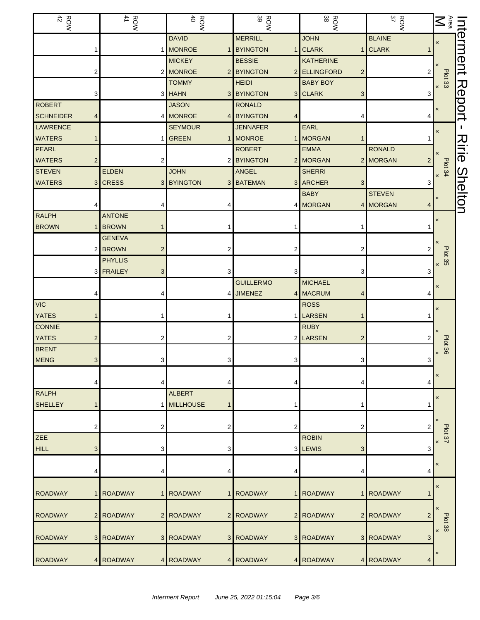| $\frac{1}{42}$   |                | <b>ROW</b><br>41          | <b>ROW</b>                  | ROW<br>39                                     | ROW<br>38                                    | ROW<br>37      | $\sum_{\text{Area}}$               | Interment |
|------------------|----------------|---------------------------|-----------------------------|-----------------------------------------------|----------------------------------------------|----------------|------------------------------------|-----------|
|                  |                |                           | <b>DAVID</b>                | <b>MERRILL</b>                                | <b>JOHN</b>                                  | <b>BLAINE</b>  | $\pmb{\kappa}$                     |           |
|                  |                |                           | 1 MONROE<br>$\mathbf{1}$    | <b>BYINGTON</b>                               | <b>CLARK</b>                                 | 1 CLARK        |                                    |           |
|                  |                |                           | <b>MICKEY</b>               | <b>BESSIE</b>                                 | <b>KATHERINE</b>                             |                |                                    |           |
|                  | 2              |                           | 2 MONROE                    | 2 BYINGTON<br>$\overline{2}$                  | <b>ELLINGFORD</b><br>$\overline{\mathbf{c}}$ | 2              | Plot 33<br>>>                      |           |
|                  |                |                           | <b>TOMMY</b>                | <b>HEIDI</b>                                  | <b>BABY BOY</b>                              |                |                                    | Report    |
| <b>ROBERT</b>    | 3              |                           | 3 HAHN<br><b>JASON</b>      | 3 BYINGTON<br>3 <sup>1</sup><br><b>RONALD</b> | <b>CLARK</b><br>3                            | 3              |                                    |           |
| <b>SCHNEIDER</b> | 4              |                           | 4 MONROE                    | 4 BYINGTON                                    |                                              |                | «                                  |           |
| <b>LAWRENCE</b>  |                |                           | <b>SEYMOUR</b>              | <b>JENNAFER</b>                               | EARL                                         |                |                                    |           |
| <b>WATERS</b>    |                |                           | 1 GREEN<br>1                | <b>MONROE</b>                                 | <b>MORGAN</b>                                |                | «                                  |           |
| PEARL            |                |                           |                             | <b>ROBERT</b>                                 | <b>EMMA</b>                                  | <b>RONALD</b>  |                                    | Ririe     |
| <b>WATERS</b>    | $\overline{2}$ | 2                         |                             | 2 BYINGTON                                    | 2 MORGAN                                     | 2 MORGAN       |                                    |           |
| <b>STEVEN</b>    |                | <b>ELDEN</b>              | <b>JOHN</b>                 | ANGEL                                         | <b>SHERRI</b>                                |                | Plot 34<br>$\overline{\mathbf{K}}$ |           |
| <b>WATERS</b>    | 3              | <b>CRESS</b>              | 3 BYINGTON<br>3             | <b>BATEMAN</b><br>3                           | <b>ARCHER</b><br>3                           |                |                                    | Shelton   |
|                  |                |                           |                             |                                               | <b>BABY</b>                                  | <b>STEVEN</b>  | «                                  |           |
|                  |                |                           |                             |                                               | 4 MORGAN                                     | 4 MORGAN<br>4  |                                    |           |
| <b>RALPH</b>     |                | <b>ANTONE</b>             |                             |                                               |                                              |                | «                                  |           |
| <b>BROWN</b>     |                | <b>BROWN</b>              |                             |                                               |                                              |                |                                    |           |
|                  |                | <b>GENEVA</b>             |                             |                                               |                                              |                |                                    |           |
|                  |                | 2 BROWN<br>$\overline{2}$ | 2                           |                                               | 2                                            |                |                                    |           |
|                  |                | <b>PHYLLIS</b>            |                             |                                               |                                              |                | Plot 35<br>$\pmb{\mathcal{R}}$     |           |
|                  |                | 3 FRAILEY<br>3            | 3                           |                                               | 3                                            | З              |                                    |           |
|                  |                |                           |                             | <b>GUILLERMO</b>                              | <b>MICHAEL</b>                               |                | «                                  |           |
|                  |                | 4                         | 4                           | <b>JIMENEZ</b><br> 4                          | <b>MACRUM</b>                                |                |                                    |           |
| <b>VIC</b>       |                |                           |                             |                                               | <b>ROSS</b>                                  |                | «                                  |           |
| <b>YATES</b>     |                |                           |                             |                                               | LARSEN                                       |                |                                    |           |
| <b>CONNIE</b>    |                |                           |                             |                                               | <b>RUBY</b>                                  |                |                                    |           |
| <b>YATES</b>     | 2              | 2                         | 2                           |                                               | 2 LARSEN<br>$\overline{2}$                   |                | Plot 36                            |           |
| <b>BRENT</b>     |                |                           |                             |                                               |                                              |                | $\pmb{\mathcal{R}}$                |           |
| <b>MENG</b>      | 3 <sup>1</sup> | 3                         | $\mathbf{3}$                | 3.                                            | 3                                            | 3              |                                    |           |
|                  |                |                           |                             |                                               |                                              |                | «                                  |           |
|                  | 4              | 4                         | 4                           |                                               | 4                                            | 4              |                                    |           |
| <b>RALPH</b>     |                |                           | <b>ALBERT</b>               |                                               |                                              |                | $\pmb{\kappa}$                     |           |
| <b>SHELLEY</b>   |                |                           | 1 MILLHOUSE<br>$\mathbf{1}$ |                                               | 1                                            |                |                                    |           |
|                  | 2              | 2                         | 2                           | 2                                             | 2                                            | 2              |                                    |           |
| <b>ZEE</b>       |                |                           |                             |                                               | <b>ROBIN</b>                                 |                | Plot <sub>37</sub>                 |           |
| <b>HILL</b>      | 3              | 3                         | 3                           |                                               | 3 LEWIS<br>3                                 | 3              | $\pmb{\ll}$                        |           |
|                  |                |                           |                             |                                               |                                              |                |                                    |           |
|                  | 4              | 4                         | 4                           | 4                                             | 4                                            | 4              | «                                  |           |
|                  |                |                           |                             |                                               |                                              |                |                                    |           |
| <b>ROADWAY</b>   |                | <b>ROADWAY</b>            | 1 ROADWAY<br>$\mathbf{1}$   | <b>ROADWAY</b><br>1                           | <b>ROADWAY</b>                               | 1 ROADWAY      | $\pmb{\ll}$                        |           |
|                  |                |                           |                             |                                               |                                              |                |                                    |           |
| <b>ROADWAY</b>   | $\overline{2}$ | <b>ROADWAY</b>            | 2 ROADWAY                   | 2 ROADWAY                                     | 2 ROADWAY                                    | 2 ROADWAY<br>2 | «                                  |           |
|                  |                |                           |                             |                                               |                                              |                | Plot 38<br>$\pmb{\ll}$             |           |
| <b>ROADWAY</b>   |                | 3 ROADWAY                 | 3 ROADWAY                   | 3 ROADWAY                                     | 3 ROADWAY                                    | 3 ROADWAY<br>3 |                                    |           |
|                  |                |                           |                             |                                               |                                              |                | «                                  |           |
| <b>ROADWAY</b>   |                | 4 ROADWAY                 | 4 ROADWAY                   | 4 ROADWAY                                     | 4 ROADWAY                                    | 4 ROADWAY<br>4 |                                    |           |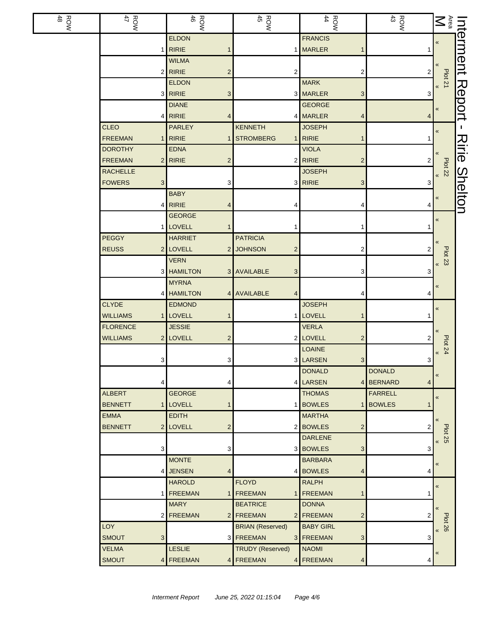| ROW<br>48 | <b>ROW</b><br>47   | <b>ROW</b>                           | <b>ROW</b><br>45                          | $\frac{ROW}{44}$                            | ROW<br>43                       | $\sum_{\text{Area}}$                  | Interment      |
|-----------|--------------------|--------------------------------------|-------------------------------------------|---------------------------------------------|---------------------------------|---------------------------------------|----------------|
|           |                    | <b>ELDON</b>                         |                                           | <b>FRANCIS</b>                              |                                 | «                                     |                |
|           |                    | $1$ <b>RIRIE</b>                     |                                           | 1 MARLER                                    |                                 |                                       |                |
|           |                    | <b>WILMA</b>                         |                                           |                                             |                                 |                                       |                |
|           |                    | $2$ RIRIE<br>$\overline{\mathbf{c}}$ | 2                                         | 2                                           | $\overline{c}$                  | $\frac{1}{2}$                         |                |
|           |                    | <b>ELDON</b>                         |                                           | <b>MARK</b>                                 |                                 |                                       | Report         |
|           |                    | 3 RIRIE<br>3                         |                                           | 3 MARLER<br>3                               | 3                               |                                       |                |
|           |                    | <b>DIANE</b><br>$4$ RIRIE            |                                           | <b>GEORGE</b><br>4 MARLER                   |                                 | «                                     |                |
|           | <b>CLEO</b>        | 4<br><b>PARLEY</b>                   | <b>KENNETH</b>                            | 4<br><b>JOSEPH</b>                          | 4                               |                                       | L.             |
|           | <b>FREEMAN</b>     | $1$ RIRIE<br>1                       | <b>STROMBERG</b>                          | $1$ RIRIE<br>1                              |                                 | $\pmb{\kappa}$                        |                |
|           | <b>DOROTHY</b>     | <b>EDNA</b>                          |                                           | <b>VIOLA</b>                                |                                 |                                       | Ririe          |
|           | <b>FREEMAN</b>     | $2$ RIRIE<br>$\overline{c}$          |                                           | $2$ RIRIE<br>$\overline{\mathbf{c}}$        | 2                               |                                       |                |
|           | <b>RACHELLE</b>    |                                      |                                           | <b>JOSEPH</b>                               |                                 | Plot 22                               |                |
|           | <b>FOWERS</b><br>3 | 3                                    |                                           | 3 RIRIE<br>3                                | 3                               |                                       |                |
|           |                    | <b>BABY</b>                          |                                           |                                             |                                 |                                       | <b>Shelton</b> |
|           |                    | 4 RIRIE<br>4                         | 4                                         | 4                                           | 4                               | «                                     |                |
|           |                    | <b>GEORGE</b>                        |                                           |                                             |                                 | «                                     |                |
|           |                    | 1 LOVELL                             | 1                                         |                                             |                                 |                                       |                |
|           | PEGGY              | <b>HARRIET</b>                       | <b>PATRICIA</b>                           |                                             |                                 |                                       |                |
|           | <b>REUSS</b>       | 2 LOVELL<br>$\overline{2}$           | <b>JOHNSON</b><br>$\overline{\mathbf{c}}$ | 2                                           | 2                               |                                       |                |
|           |                    | <b>VERN</b>                          |                                           |                                             |                                 | <b>Plot 23</b><br>$\pmb{\mathcal{R}}$ |                |
|           |                    | 3 HAMILTON                           | 3 AVAILABLE<br>$\ensuremath{\mathsf{3}}$  | 3                                           | 3                               |                                       |                |
|           |                    | <b>MYRNA</b>                         |                                           |                                             |                                 | «                                     |                |
|           |                    | 4 HAMILTON                           | 4 AVAILABLE<br>4                          | 4                                           | 4                               |                                       |                |
|           | <b>CLYDE</b>       | <b>EDMOND</b>                        |                                           | <b>JOSEPH</b>                               |                                 | $\pmb{\kappa}$                        |                |
|           | <b>WILLIAMS</b>    | 1 LOVELL<br>1                        |                                           | 1 LOVELL<br>1                               |                                 |                                       |                |
|           | <b>FLORENCE</b>    | <b>JESSIE</b>                        |                                           | <b>VERLA</b>                                |                                 | $\pmb{\langle} \pmb{\langle}$         |                |
|           | <b>WILLIAMS</b>    | 2 LOVELL<br>$\overline{2}$           |                                           | 2 LOVELL<br>$\overline{c}$                  | 2                               | Plot 24                               |                |
|           |                    |                                      |                                           | <b>LOAINE</b>                               |                                 | $\pmb{\mathcal{R}}$                   |                |
|           | 3                  | 3 <sup>1</sup>                       |                                           | 3 LARSEN<br>3 <sup>1</sup><br><b>DONALD</b> | 3 <sup>1</sup><br><b>DONALD</b> |                                       |                |
|           | 4                  | 4                                    |                                           | 4 LARSEN<br>4                               | <b>BERNARD</b><br>4             | $\pmb{\kappa}$                        |                |
|           | <b>ALBERT</b>      | <b>GEORGE</b>                        |                                           | <b>THOMAS</b>                               | <b>FARRELL</b>                  |                                       |                |
|           | <b>BENNETT</b>     | 1 LOVELL                             |                                           | 1 BOWLES                                    | <b>BOWLES</b>                   | $\pmb{\kappa}$                        |                |
|           | <b>EMMA</b>        | <b>EDITH</b>                         |                                           | <b>MARTHA</b>                               |                                 |                                       |                |
|           | <b>BENNETT</b>     | 2 LOVELL<br>$\overline{2}$           |                                           | 2 BOWLES<br>2                               | 2                               |                                       |                |
|           |                    |                                      |                                           | <b>DARLENE</b>                              |                                 | Plot 25                               |                |
|           | 3                  | 3                                    |                                           | 3 BOWLES<br>3                               | 3                               |                                       |                |
|           |                    | <b>MONTE</b>                         |                                           | <b>BARBARA</b>                              |                                 | «                                     |                |
|           |                    | 4 JENSEN<br>4                        |                                           | 4 BOWLES<br>4                               | 4                               |                                       |                |
|           |                    | <b>HAROLD</b>                        | <b>FLOYD</b>                              | <b>RALPH</b>                                |                                 | $\pmb{\kappa}$                        |                |
|           |                    | 1 FREEMAN<br>1                       | FREEMAN                                   | 1 FREEMAN<br>1                              |                                 |                                       |                |
|           |                    | <b>MARY</b>                          | <b>BEATRICE</b>                           | <b>DONNA</b>                                |                                 |                                       |                |
|           |                    | 2 FREEMAN                            | 2 FREEMAN                                 | 2 FREEMAN<br>$\overline{c}$                 | 2                               | Plot 26<br>92 pld                     |                |
|           | LOY                |                                      | <b>BRIAN (Reserved)</b>                   | <b>BABY GIRL</b>                            |                                 |                                       |                |
|           | <b>SMOUT</b><br>3  |                                      | 3 FREEMAN                                 | 3 FREEMAN<br>3                              | 3                               |                                       |                |
|           | <b>VELMA</b>       | <b>LESLIE</b>                        | <b>TRUDY (Reserved)</b>                   | <b>NAOMI</b>                                |                                 | «                                     |                |
|           | <b>SMOUT</b>       | 4 FREEMAN                            | 4 FREEMAN                                 | 4 FREEMAN<br>4                              | 4                               |                                       |                |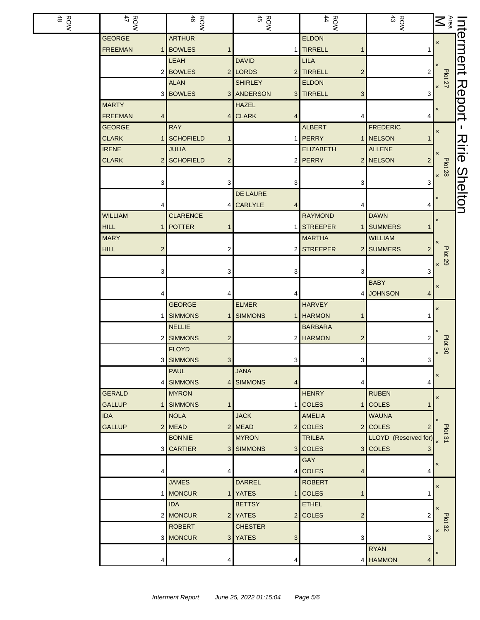| ROW<br>48 | ROW<br>47                                    | $\frac{R}{46}$                   | $\begin{array}{c}\n\text{ROW} \\ 45\n\end{array}$ | $\frac{ROW}{4}$             | $\begin{array}{c}\n\text{RON} \\ \text{A3}\n\end{array}$ | $\begin{tabular}{c c} \hline \multicolumn{1}{c}{\text{Inferment}} \\ \hline \multicolumn{1}{c}{\text{Ara}} & \multicolumn{1}{c}{\text{on}} \\ \multicolumn{1}{c}{\text{Ara}} & \multicolumn{1}{c}{\text{on}} \\ \multicolumn{1}{c}{\text{Ara}} & \multicolumn{1}{c}{\text{on}} \\ \multicolumn{1}{c}{\text{Ara}} & \multicolumn{1}{c}{\text{on}} \\ \multicolumn{1}{c}{\text{Ara}} & \multicolumn{1}{c}{\text{on}} \\ \multicolumn{1}{c}{\text{Ara}} & \multicolumn{1}{c}{\text{on}} \\$ |                |
|-----------|----------------------------------------------|----------------------------------|---------------------------------------------------|-----------------------------|----------------------------------------------------------|------------------------------------------------------------------------------------------------------------------------------------------------------------------------------------------------------------------------------------------------------------------------------------------------------------------------------------------------------------------------------------------------------------------------------------------------------------------------------------------|----------------|
|           | <b>GEORGE</b>                                | <b>ARTHUR</b>                    |                                                   | <b>ELDON</b>                |                                                          |                                                                                                                                                                                                                                                                                                                                                                                                                                                                                          |                |
|           | <b>FREEMAN</b><br>$\mathbf 1$                | <b>BOWLES</b>                    |                                                   | 1 TIRRELL<br>$\mathbf{1}$   |                                                          |                                                                                                                                                                                                                                                                                                                                                                                                                                                                                          |                |
|           |                                              | LEAH                             | <b>DAVID</b>                                      | <b>LILA</b>                 |                                                          |                                                                                                                                                                                                                                                                                                                                                                                                                                                                                          |                |
|           |                                              | 2 BOWLES                         | 2 LORDS                                           | 2 TIRRELL<br>$\overline{c}$ | $\overline{\mathbf{c}}$                                  | <b>Plot 27</b>                                                                                                                                                                                                                                                                                                                                                                                                                                                                           |                |
|           |                                              | <b>ALAN</b>                      | <b>SHIRLEY</b>                                    | <b>ELDON</b>                |                                                          |                                                                                                                                                                                                                                                                                                                                                                                                                                                                                          |                |
|           |                                              | 3 BOWLES                         | 3 ANDERSON                                        | 3 TIRRELL<br>3              | 3                                                        |                                                                                                                                                                                                                                                                                                                                                                                                                                                                                          | Report         |
|           | <b>MARTY</b>                                 |                                  | <b>HAZEL</b>                                      |                             |                                                          | «                                                                                                                                                                                                                                                                                                                                                                                                                                                                                        |                |
|           | <b>FREEMAN</b><br>4                          |                                  | 4 CLARK<br>4                                      | 4                           | 4                                                        |                                                                                                                                                                                                                                                                                                                                                                                                                                                                                          |                |
|           | <b>GEORGE</b>                                | <b>RAY</b>                       |                                                   | <b>ALBERT</b>               | <b>FREDERIC</b>                                          | «                                                                                                                                                                                                                                                                                                                                                                                                                                                                                        | L.             |
|           | <b>CLARK</b><br>$\mathbf{1}$<br><b>IRENE</b> | SCHOFIELD<br>1                   |                                                   | 1 PERRY<br><b>ELIZABETH</b> | 1 NELSON<br>1                                            |                                                                                                                                                                                                                                                                                                                                                                                                                                                                                          |                |
|           | <b>CLARK</b>                                 | <b>JULIA</b><br>2 SCHOFIELD<br>2 |                                                   | 2 PERRY                     | <b>ALLENE</b><br>2 NELSON<br>2                           |                                                                                                                                                                                                                                                                                                                                                                                                                                                                                          | Ririe          |
|           |                                              |                                  |                                                   |                             |                                                          | Plot 28<br>> 8                                                                                                                                                                                                                                                                                                                                                                                                                                                                           |                |
|           | 3                                            | 3                                | 3                                                 | 3                           | 3                                                        |                                                                                                                                                                                                                                                                                                                                                                                                                                                                                          |                |
|           |                                              |                                  | <b>DE LAURE</b>                                   |                             |                                                          |                                                                                                                                                                                                                                                                                                                                                                                                                                                                                          |                |
|           |                                              |                                  | <b>CARLYLE</b><br>4                               | 4                           | 4                                                        | «                                                                                                                                                                                                                                                                                                                                                                                                                                                                                        | <b>Shelton</b> |
|           | <b>WILLIAM</b>                               | <b>CLARENCE</b>                  |                                                   | <b>RAYMOND</b>              | <b>DAWN</b>                                              |                                                                                                                                                                                                                                                                                                                                                                                                                                                                                          |                |
|           | <b>HILL</b><br>1                             | POTTER                           | $\mathbf{1}$                                      | <b>STREEPER</b>             | 1 SUMMERS<br>1                                           | «                                                                                                                                                                                                                                                                                                                                                                                                                                                                                        |                |
|           | <b>MARY</b>                                  |                                  |                                                   | <b>MARTHA</b>               | <b>WILLIAM</b>                                           |                                                                                                                                                                                                                                                                                                                                                                                                                                                                                          |                |
|           | <b>HILL</b><br>$\overline{c}$                | 2                                |                                                   | 2 STREEPER                  | 2 SUMMERS<br>2                                           |                                                                                                                                                                                                                                                                                                                                                                                                                                                                                          |                |
|           |                                              |                                  |                                                   |                             |                                                          | <b>Plot 29</b>                                                                                                                                                                                                                                                                                                                                                                                                                                                                           |                |
|           | 3                                            | 3                                | 3                                                 | 3                           | 3                                                        | $\pmb{\mathcal{R}}$                                                                                                                                                                                                                                                                                                                                                                                                                                                                      |                |
|           |                                              |                                  |                                                   |                             | <b>BABY</b>                                              |                                                                                                                                                                                                                                                                                                                                                                                                                                                                                          |                |
|           |                                              |                                  | 4                                                 |                             | 4 JOHNSON<br>4                                           | $\pmb{\kappa}$                                                                                                                                                                                                                                                                                                                                                                                                                                                                           |                |
|           |                                              | <b>GEORGE</b>                    | <b>ELMER</b>                                      | <b>HARVEY</b>               |                                                          | «                                                                                                                                                                                                                                                                                                                                                                                                                                                                                        |                |
|           | 1                                            | <b>SIMMONS</b>                   | SIMMONS                                           | 1 HARMON<br>1               |                                                          |                                                                                                                                                                                                                                                                                                                                                                                                                                                                                          |                |
|           |                                              | <b>NELLIE</b>                    |                                                   | <b>BARBARA</b>              |                                                          |                                                                                                                                                                                                                                                                                                                                                                                                                                                                                          |                |
|           |                                              | 2 SIMMONS<br>2                   |                                                   | 2 HARMON<br>$\overline{c}$  |                                                          |                                                                                                                                                                                                                                                                                                                                                                                                                                                                                          |                |
|           |                                              | <b>FLOYD</b>                     |                                                   |                             |                                                          | Plot 30<br>$\ll$                                                                                                                                                                                                                                                                                                                                                                                                                                                                         |                |
|           |                                              | 3 SIMMONS<br>3 <sup>1</sup>      | 3                                                 | $\mathbf{3}$                | 3 <sup>1</sup>                                           |                                                                                                                                                                                                                                                                                                                                                                                                                                                                                          |                |
|           |                                              | <b>PAUL</b>                      | <b>JANA</b>                                       |                             |                                                          | «                                                                                                                                                                                                                                                                                                                                                                                                                                                                                        |                |
|           |                                              | 4 SIMMONS<br>$\vert 4 \vert$     | <b>SIMMONS</b><br>4                               | 4                           | 4                                                        |                                                                                                                                                                                                                                                                                                                                                                                                                                                                                          |                |
|           | <b>GERALD</b>                                | <b>MYRON</b>                     |                                                   | <b>HENRY</b>                | <b>RUBEN</b>                                             | $\pmb{\kappa}$                                                                                                                                                                                                                                                                                                                                                                                                                                                                           |                |
|           | <b>GALLUP</b><br>$\mathbf{1}$                | <b>SIMMONS</b>                   |                                                   | 1 COLES                     | 1 COLES<br>1                                             |                                                                                                                                                                                                                                                                                                                                                                                                                                                                                          |                |
|           | <b>IDA</b>                                   | <b>NOLA</b>                      | <b>JACK</b>                                       | AMELIA                      | <b>WAUNA</b>                                             | $\pmb{\langle} \pmb{\langle}$                                                                                                                                                                                                                                                                                                                                                                                                                                                            |                |
|           | <b>GALLUP</b>                                | 2 MEAD                           | 2 MEAD                                            | 2 COLES                     | 2 COLES<br>2                                             | Plot 31                                                                                                                                                                                                                                                                                                                                                                                                                                                                                  |                |
|           |                                              | <b>BONNIE</b>                    | <b>MYRON</b>                                      | <b>TRILBA</b>               | LLOYD (Reserved for                                      |                                                                                                                                                                                                                                                                                                                                                                                                                                                                                          |                |
|           |                                              | 3 CARTIER                        | 3 SIMMONS                                         | 3 COLES                     | 3 COLES<br>3                                             |                                                                                                                                                                                                                                                                                                                                                                                                                                                                                          |                |
|           |                                              |                                  |                                                   | <b>GAY</b>                  |                                                          | «                                                                                                                                                                                                                                                                                                                                                                                                                                                                                        |                |
|           | 4                                            | 4                                |                                                   | 4 COLES<br>4                | 4                                                        |                                                                                                                                                                                                                                                                                                                                                                                                                                                                                          |                |
|           |                                              | <b>JAMES</b>                     | <b>DARREL</b>                                     | <b>ROBERT</b>               |                                                          | $\pmb{\mathcal{R}}$                                                                                                                                                                                                                                                                                                                                                                                                                                                                      |                |
|           |                                              | 1 MONCUR                         | 1 YATES                                           | 1 COLES<br>1                |                                                          |                                                                                                                                                                                                                                                                                                                                                                                                                                                                                          |                |
|           |                                              | <b>IDA</b>                       | <b>BETTSY</b>                                     | <b>ETHEL</b>                |                                                          | $\pmb{\langle} \pmb{\langle}$                                                                                                                                                                                                                                                                                                                                                                                                                                                            |                |
|           |                                              | 2 MONCUR                         | 2 YATES                                           | 2 COLES<br>$\overline{a}$   | 2                                                        | Plot 32                                                                                                                                                                                                                                                                                                                                                                                                                                                                                  |                |
|           |                                              | <b>ROBERT</b><br>3 MONCUR        | <b>CHESTER</b><br>3 YATES                         | 3                           | 3                                                        |                                                                                                                                                                                                                                                                                                                                                                                                                                                                                          |                |
|           |                                              |                                  | 3                                                 |                             | <b>RYAN</b>                                              |                                                                                                                                                                                                                                                                                                                                                                                                                                                                                          |                |
|           |                                              |                                  |                                                   |                             | 4 HAMMON                                                 | «                                                                                                                                                                                                                                                                                                                                                                                                                                                                                        |                |
|           | 4                                            | 4                                | 4                                                 |                             | 4                                                        |                                                                                                                                                                                                                                                                                                                                                                                                                                                                                          |                |

L